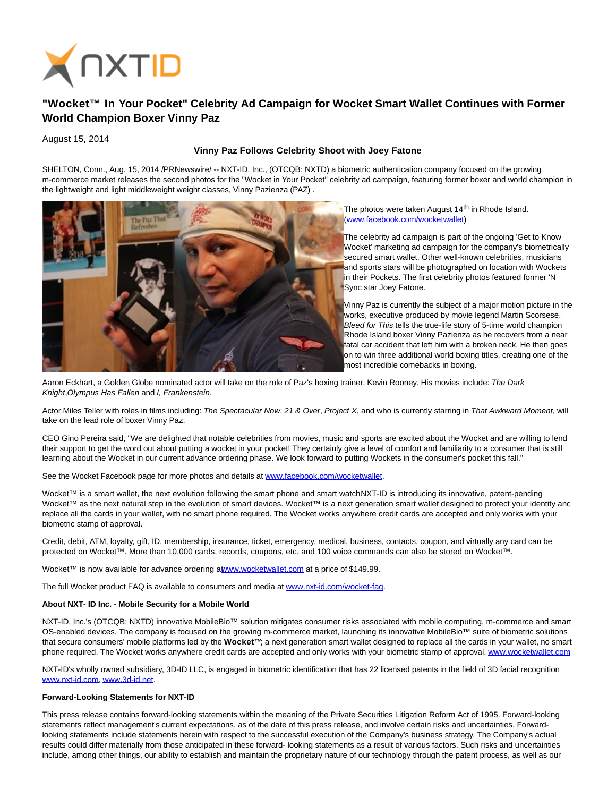

# **"Wocket™ In Your Pocket" Celebrity Ad Campaign for Wocket Smart Wallet Continues with Former World Champion Boxer Vinny Paz**

August 15, 2014

### **Vinny Paz Follows Celebrity Shoot with Joey Fatone**

SHELTON, Conn., Aug. 15, 2014 /PRNewswire/ -- NXT-ID, Inc., (OTCQB: NXTD) a biometric authentication company focused on the growing m-commerce market releases the second photos for the "Wocket in Your Pocket" celebrity ad campaign, featuring former boxer and world champion in the lightweight and light middleweight weight classes, Vinny Pazienza (PAZ) .



The photos were taken August 14<sup>th</sup> in Rhode Island. [\(www.facebook.com/wocketwallet\)](http://www.facebook.com/wocketwallet) 

The celebrity ad campaign is part of the ongoing 'Get to Know Wocket' marketing ad campaign for the company's biometrically secured smart wallet. Other well-known celebrities, musicians and sports stars will be photographed on location with Wockets in their Pockets. The first celebrity photos featured former 'N **Sync star Joey Fatone.** 

Vinny Paz is currently the subject of a major motion picture in the works, executive produced by movie legend Martin Scorsese. Bleed for This tells the true-life story of 5-time world champion Rhode Island boxer Vinny Pazienza as he recovers from a near fatal car accident that left him with a broken neck. He then goes on to win three additional world boxing titles, creating one of the most incredible comebacks in boxing.

Aaron Eckhart, a Golden Globe nominated actor will take on the role of Paz's boxing trainer, Kevin Rooney. His movies include: The Dark Knight,Olympus Has Fallen and I, Frankenstein.

Actor Miles Teller with roles in films including: The Spectacular Now, 21 & Over, Project X, and who is currently starring in That Awkward Moment, will take on the lead role of boxer Vinny Paz.

CEO Gino Pereira said, "We are delighted that notable celebrities from movies, music and sports are excited about the Wocket and are willing to lend their support to get the word out about putting a wocket in your pocket! They certainly give a level of comfort and familiarity to a consumer that is still learning about the Wocket in our current advance ordering phase. We look forward to putting Wockets in the consumer's pocket this fall."

See the Wocket Facebook page for more photos and details at [www.facebook.com/wocketwallet.](http://www.facebook.com/wocketwallet)

Wocket™ is a smart wallet, the next evolution following the smart phone and smart watchNXT-ID is introducing its innovative, patent-pending Wocket™ as the next natural step in the evolution of smart devices. Wocket™ is a next generation smart wallet designed to protect your identity and replace all the cards in your wallet, with no smart phone required. The Wocket works anywhere credit cards are accepted and only works with your biometric stamp of approval.

Credit, debit, ATM, loyalty, gift, ID, membership, insurance, ticket, emergency, medical, business, contacts, coupon, and virtually any card can be protected on Wocket™. More than 10,000 cards, records, coupons, etc. and 100 voice commands can also be stored on Wocket™.

Wocket™ is now available for advance ordering [at www.wocketwallet.com a](http://www.wocketwallet.com/)t a price of \$149.99.

The full Wocket product FAQ is available to consumers and media a[t www.nxt-id.com/wocket-faq.](http://www.nxt-id.com/wocket-faq)

## **About NXT- ID Inc. - Mobile Security for a Mobile World**

NXT-ID, Inc.'s (OTCQB: NXTD) innovative MobileBio™ solution mitigates consumer risks associated with mobile computing, m-commerce and smart OS-enabled devices. The company is focused on the growing m-commerce market, launching its innovative MobileBio™ suite of biometric solutions that secure consumers' mobile platforms led by the **Wocket™**; a next generation smart wallet designed to replace all the cards in your wallet, no smart phone required. The Wocket works anywhere credit cards are accepted and only works with your biometric stamp of approval[. www.wocketwallet.com](http://www.wocketwallet.com/)

NXT-ID's wholly owned subsidiary, 3D-ID LLC, is engaged in biometric identification that has 22 licensed patents in the field of 3D facial recognition [www.nxt-id.com,](http://www.nxt-id.com/) [www.3d-id.net.](http://www.3d-id.net/)

#### **Forward-Looking Statements for NXT-ID**

This press release contains forward-looking statements within the meaning of the Private Securities Litigation Reform Act of 1995. Forward-looking statements reflect management's current expectations, as of the date of this press release, and involve certain risks and uncertainties. Forwardlooking statements include statements herein with respect to the successful execution of the Company's business strategy. The Company's actual results could differ materially from those anticipated in these forward- looking statements as a result of various factors. Such risks and uncertainties include, among other things, our ability to establish and maintain the proprietary nature of our technology through the patent process, as well as our